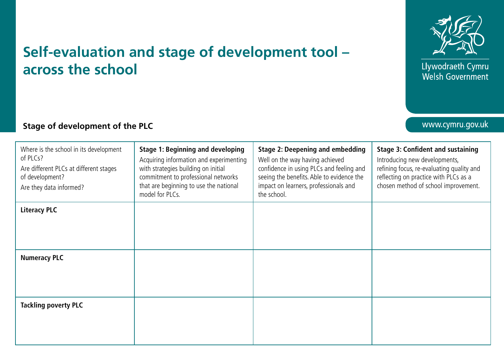

Llywodraeth Cymru Welsh Government

## www.cymru.gov.uk

## **Self-evaluation and stage of development tool – across the school**

## **Stage of development of the PLC**

| Where is the school in its development<br>of PLCs?<br>Are different PLCs at different stages<br>of development?<br>Are they data informed? | <b>Stage 1: Beginning and developing</b><br>Acquiring information and experimenting<br>with strategies building on initial<br>commitment to professional networks<br>that are beginning to use the national<br>model for PLCs. | <b>Stage 2: Deepening and embedding</b><br>Well on the way having achieved<br>confidence in using PLCs and feeling and<br>seeing the benefits. Able to evidence the<br>impact on learners, professionals and<br>the school. | <b>Stage 3: Confident and sustaining</b><br>Introducing new developments,<br>refining focus, re-evaluating quality and<br>reflecting on practice with PLCs as a<br>chosen method of school improvement. |
|--------------------------------------------------------------------------------------------------------------------------------------------|--------------------------------------------------------------------------------------------------------------------------------------------------------------------------------------------------------------------------------|-----------------------------------------------------------------------------------------------------------------------------------------------------------------------------------------------------------------------------|---------------------------------------------------------------------------------------------------------------------------------------------------------------------------------------------------------|
| <b>Literacy PLC</b>                                                                                                                        |                                                                                                                                                                                                                                |                                                                                                                                                                                                                             |                                                                                                                                                                                                         |
|                                                                                                                                            |                                                                                                                                                                                                                                |                                                                                                                                                                                                                             |                                                                                                                                                                                                         |
| <b>Numeracy PLC</b>                                                                                                                        |                                                                                                                                                                                                                                |                                                                                                                                                                                                                             |                                                                                                                                                                                                         |
|                                                                                                                                            |                                                                                                                                                                                                                                |                                                                                                                                                                                                                             |                                                                                                                                                                                                         |
| <b>Tackling poverty PLC</b>                                                                                                                |                                                                                                                                                                                                                                |                                                                                                                                                                                                                             |                                                                                                                                                                                                         |
|                                                                                                                                            |                                                                                                                                                                                                                                |                                                                                                                                                                                                                             |                                                                                                                                                                                                         |